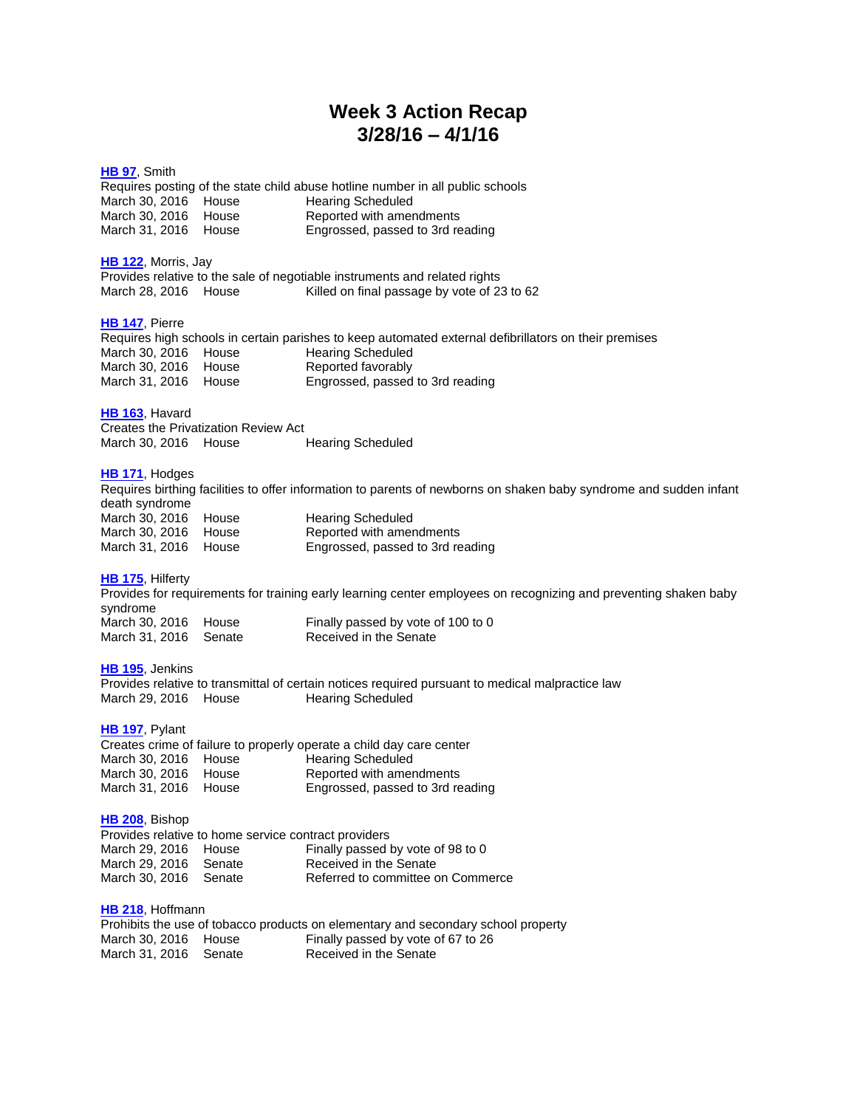# **Week 3 Action Recap 3/28/16 – 4/1/16**

# **[HB](http://lanb.me/inst/2016rs/hb/00/16rs-hb97_engrossed.pdf) 97**, Smith Requires posting of the state child abuse hotline number in all public schools<br>March 30, 2016 House Hearing Scheduled March 30, 2016 House<br>March 30, 2016 House March 30, 2016 House Reported with amendments<br>March 31, 2016 House Engrossed, passed to 3rd re Engrossed, passed to 3rd reading **HB [122](http://lanb.me/inst/2016rs/hb/01/16rs-hb122_engrossed.pdf)**, Morris, Jay Provides relative to the sale of negotiable instruments and related rights March 28, 2016 House Killed on final passage by vote of 23 to 62 **HB [147](http://lanb.me/inst/2016rs/hb/01/16rs-hb147_engrossed.pdf)**, Pierre Requires high schools in certain parishes to keep automated external defibrillators on their premises<br>March 30, 2016 House Hearing Scheduled March 30, 2016 House March 30, 2016 House Reported favorably<br>
March 31, 2016 House Engrossed, passed Engrossed, passed to 3rd reading **HB [163](http://lanb.me/inst/2016rs/hb/01/16rs-hb163_engrossed.pdf)**, Havard Creates the Privatization Review Act March 30, 2016 House Hearing Scheduled **HB [171](http://lanb.me/inst/2016rs/hb/01/16rs-hb171_engrossed.pdf)**, Hodges Requires birthing facilities to offer information to parents of newborns on shaken baby syndrome and sudden infant death syndrome March 30, 2016 House Hearing Scheduled March 30, 2016 House Reported with amendments March 31, 2016 House Engrossed, passed to 3rd reading **HB [175](http://lanb.me/inst/2016rs/hb/01/16rs-hb175_reengrossed.pdf)**, Hilferty Provides for requirements for training early learning center employees on recognizing and preventing shaken baby syndrome March 30, 2016 House Finally passed by vote of 100 to 0 March 31, 2016 Senate Received in the Senate **HB [195](http://lanb.me/inst/2016rs/hb/01/16rs-hb195_original.pdf)**, Jenkins Provides relative to transmittal of certain notices required pursuant to medical malpractice law March 29, 2016 House Hearing Scheduled **HB [197](http://lanb.me/inst/2016rs/hb/01/16rs-hb197_engrossed.pdf)**, Pylant Creates crime of failure to properly operate a child day care center March 30, 2016 House Hearing Scheduled<br>March 30, 2016 House Reported with amer March 30, 2016 House Reported with amendments<br>March 31, 2016 House Engrossed, passed to 3rd re Engrossed, passed to 3rd reading **HB [208](http://lanb.me/inst/2016rs/hb/02/16rs-hb208_engrossed.pdf)**, Bishop Provides relative to home service contract providers Finally passed by vote of 98 to 0 March 29, 2016 House Finally passed by vote c<br>March 29, 2016 Senate Received in the Senate<br>March 30, 2016 Senate Referred to committee c Referred to committee on Commerce **HB [218](http://lanb.me/inst/2016rs/hb/02/16rs-hb218_reengrossed.pdf)**, Hoffmann Prohibits the use of tobacco products on elementary and secondary school property

March 30, 2016 House Finally passed by vote of 67 to 26<br>March 31, 2016 Senate Received in the Senate March 31, 2016 Senate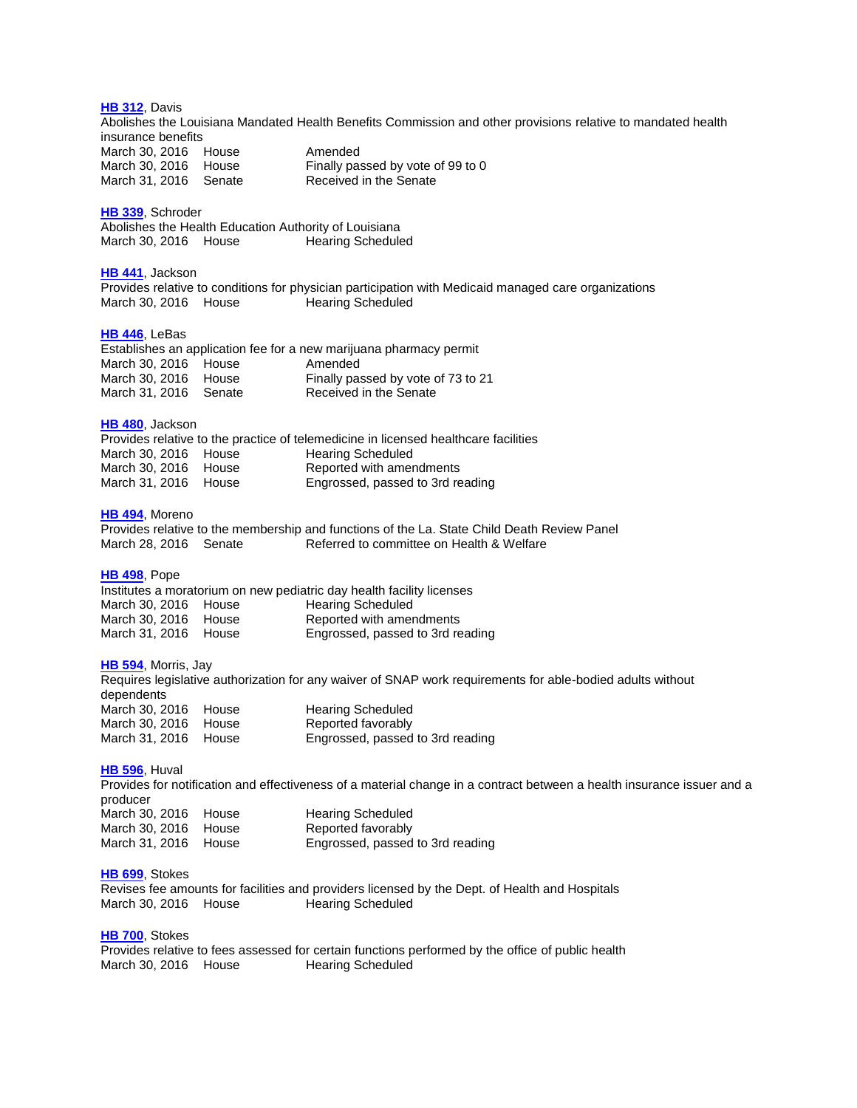**HB [312](http://lanb.me/inst/2016rs/hb/03/16rs-hb312_reengrossed.pdf)**, Davis Abolishes the Louisiana Mandated Health Benefits Commission and other provisions relative to mandated health insurance benefits March 30, 2016 House Amended March 30, 2016 House Finally passed by vote of 99 to 0 March 31, 2016 Senate Received in the Senate **HB [339](http://lanb.me/inst/2016rs/hb/03/16rs-hb339_original.pdf)**, Schroder Abolishes the Health Education Authority of Louisiana March 30, 2016 House Hearing Scheduled **HB [441](http://lanb.me/inst/2016rs/hb/04/16rs-hb441_original.pdf)**, Jackson Provides relative to conditions for physician participation with Medicaid managed care organizations March 30, 2016 House Hearing Scheduled **HB [446](http://lanb.me/inst/2016rs/hb/04/16rs-hb446_reengrossed.pdf)**, LeBas Establishes an application fee for a new marijuana pharmacy permit March 30, 2016 House Amended<br>March 30, 2016 House Finally pas Finally passed by vote of 73 to 21 March 31, 2016 Senate Received in the Senate **HB [480](http://lanb.me/inst/2016rs/hb/04/16rs-hb480_engrossed.pdf)**, Jackson Provides relative to the practice of telemedicine in licensed healthcare facilities

March 30, 2016 House Hearing Scheduled March 30, 2016 House Reported with amendments March 31, 2016 House Engrossed, passed to 3rd reading

### **HB [494](http://lanb.me/inst/2016rs/hb/04/16rs-hb494_reengrossed.pdf)**, Moreno

Provides relative to the membership and functions of the La. State Child Death Review Panel Referred to committee on Health & Welfare

#### **HB [498](http://lanb.me/inst/2016rs/hb/04/16rs-hb498_engrossed.pdf)**, Pope

Institutes a moratorium on new pediatric day health facility licenses March 30, 2016 House Hearing Scheduled March 30, 2016 House Reported with amendments March 31, 2016 House Engrossed, passed to 3rd reading

#### **HB [594](http://lanb.me/inst/2016rs/hb/05/16rs-hb594_engrossed.pdf)**, Morris, Jay

Requires legislative authorization for any waiver of SNAP work requirements for able-bodied adults without dependents March 30, 2016 House Hearing Scheduled March 30, 2016 House Reported favorably<br>
March 31, 2016 House Engrossed, passed Engrossed, passed to 3rd reading

#### **HB [596](http://lanb.me/inst/2016rs/hb/05/16rs-hb596_engrossed.pdf)**, Huval

Provides for notification and effectiveness of a material change in a contract between a health insurance issuer and a producer March 30, 2016 House Hearing Scheduled<br>
March 30, 2016 House Reported favorably March 30, 2016 House March 31, 2016 House Engrossed, passed to 3rd reading

#### **HB [699](http://lanb.me/inst/2016rs/hb/06/16rs-hb699_original.pdf)**, Stokes

Revises fee amounts for facilities and providers licensed by the Dept. of Health and Hospitals March 30, 2016 House Hearing Scheduled

#### **HB [700](http://lanb.me/inst/2016rs/hb/07/16rs-hb700_original.pdf)**, Stokes

Provides relative to fees assessed for certain functions performed by the office of public health March 30, 2016 House Hearing Scheduled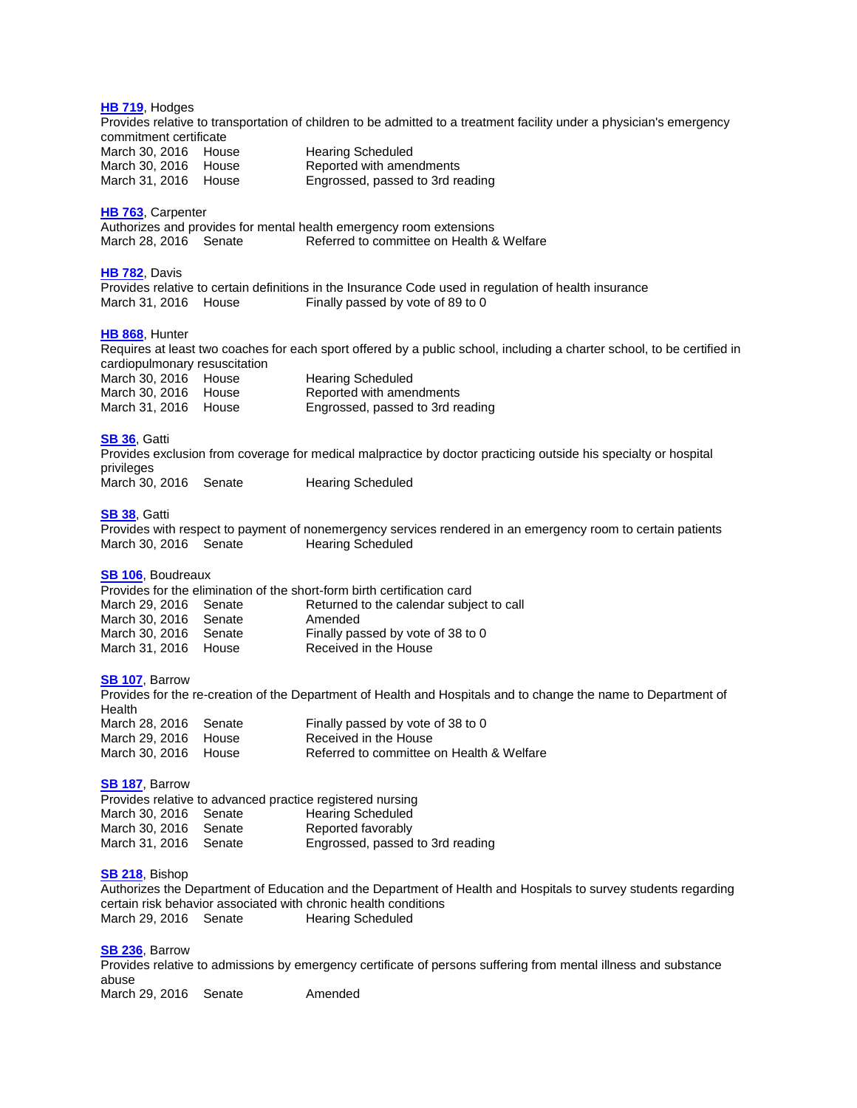**HB [719](http://lanb.me/inst/2016rs/hb/07/16rs-hb719_engrossed.pdf)**, Hodges Provides relative to transportation of children to be admitted to a treatment facility under a physician's emergency commitment certificate March 30, 2016 House Hearing Scheduled March 30, 2016 House Reported with amendments March 31, 2016 House Engrossed, passed to 3rd reading **HB [763](http://lanb.me/inst/2016rs/hb/07/16rs-hb763_reengrossed.pdf)**, Carpenter Authorizes and provides for mental health emergency room extensions March 28, 2016 Senate Referred to committee on Health & Welfare **HB [782](http://lanb.me/inst/2016rs/hb/07/16rs-hb782_engrossed.pdf)**, Davis Provides relative to certain definitions in the Insurance Code used in regulation of health insurance March 31, 2016 House Finally passed by vote of 89 to 0 **HB [868](http://lanb.me/inst/2016rs/hb/08/16rs-hb868_engrossed.pdf)**, Hunter Requires at least two coaches for each sport offered by a public school, including a charter school, to be certified in cardiopulmonary resuscitation March 30, 2016 House Hearing Scheduled March 30, 2016 House Reported with amendments<br>March 31, 2016 House Engrossed, passed to 3rd re Engrossed, passed to 3rd reading **[SB](http://lanb.me/inst/2016rs/sb/00/16rs-sb36_original.pdf) 36**, Gatti Provides exclusion from coverage for medical malpractice by doctor practicing outside his specialty or hospital privileges March 30, 2016 Senate Hearing Scheduled **[SB](http://lanb.me/inst/2016rs/sb/00/16rs-sb38_original.pdf) 38**, Gatti Provides with respect to payment of nonemergency services rendered in an emergency room to certain patients March 30, 2016 Senate Hearing Scheduled **SB [106](http://lanb.me/inst/2016rs/sb/01/16rs-sb106_reengrossed.pdf)**, Boudreaux Provides for the elimination of the short-form birth certification card March 29, 2016 Senate Returned to the calendar subject to call<br>March 30, 2016 Senate Amended March 30, 2016 Senate **Amended** March 30, 2016 Senate Finally passed by vote of 38 to 0 March 31, 2016 House Received in the House **SB [107](http://lanb.me/inst/2016rs/sb/01/16rs-sb107_engrossed.pdf)**, Barrow Provides for the re-creation of the Department of Health and Hospitals and to change the name to Department of **Health** Finally passed by vote of 38 to 0 March 28, 2016 Senate<br>
March 29, 2016 House<br>
March 30, 2016 House<br>
Referred to committee Referred to committee on Health & Welfare **SB [187](http://lanb.me/inst/2016rs/sb/01/16rs-sb187_original.pdf)**, Barrow Provides relative to advanced practice registered nursing March 30, 2016 Senate Hearing Scheduled March 30, 2016 Senate Reported favorably March 31, 2016 Senate Engrossed, passed to 3rd reading **SB [218](http://lanb.me/inst/2016rs/sb/02/16rs-sb218_original.pdf)**, Bishop Authorizes the Department of Education and the Department of Health and Hospitals to survey students regarding certain risk behavior associated with chronic health conditions March 29, 2016 Senate Hearing Scheduled **SB [236](http://lanb.me/inst/2016rs/sb/02/16rs-sb236_reengrossed.pdf)**, Barrow Provides relative to admissions by emergency certificate of persons suffering from mental illness and substance

abuse March 29, 2016 Senate Amended